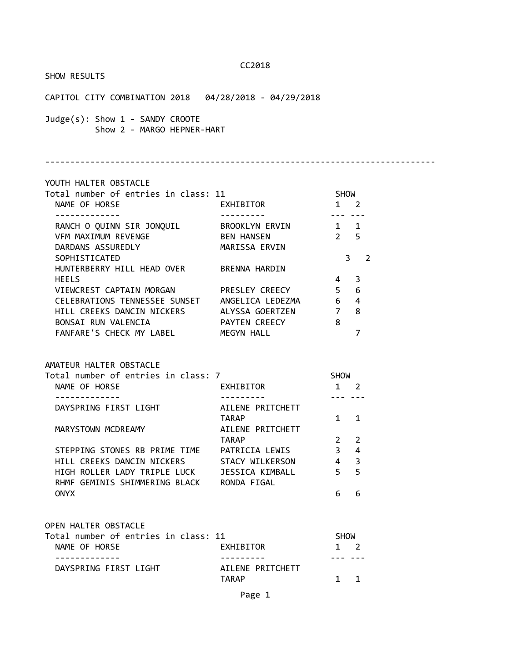SHOW RESULTS

| CAPITOL CITY COMBINATION 2018  04/28/2018 - 04/29/2018                                                                                                                                                                                                                                                                                                                                                            |                                                                                 |                                                                        |                                    |  |
|-------------------------------------------------------------------------------------------------------------------------------------------------------------------------------------------------------------------------------------------------------------------------------------------------------------------------------------------------------------------------------------------------------------------|---------------------------------------------------------------------------------|------------------------------------------------------------------------|------------------------------------|--|
| Judge(s): Show 1 - SANDY CROOTE<br>Show 2 - MARGO HEPNER-HART                                                                                                                                                                                                                                                                                                                                                     |                                                                                 |                                                                        |                                    |  |
| YOUTH HALTER OBSTACLE                                                                                                                                                                                                                                                                                                                                                                                             |                                                                                 |                                                                        |                                    |  |
| Total number of entries in class: 11<br>NAME OF HORSE                                                                                                                                                                                                                                                                                                                                                             | EXHIBITOR                                                                       | <b>SHOW</b><br>$1 \quad 2$                                             |                                    |  |
| RANCH O QUINN SIR JONQUIL BROOKLYN ERVIN<br>VFM MAXIMUM REVENGE THE BEN HANSEN<br>DARDANS ASSUREDLY<br>SOPHISTICATED<br>HUNTERBERRY HILL HEAD OVER BRENNA HARDIN<br><b>HEELS</b><br>VIEWCREST CAPTAIN MORGAN PRESLEY CREECY<br>CELEBRATIONS TENNESSEE SUNSET ANGELICA LEDEZMA 6 4<br>HILL CREEKS DANCIN NICKERS ALYSSA GOERTZEN 7 8<br>BONSAI RUN VALENCIA FAYTEN CREECY 8<br>FANFARE'S CHECK MY LABEL MEGYN HALL | MARISSA ERVIN                                                                   | $1 \quad 1$<br>2 <sub>5</sub><br>4 <sup>3</sup><br>5 <sub>6</sub>      | 3 <sub>2</sub><br>$\overline{7}$   |  |
| AMATEUR HALTER OBSTACLE<br>Total number of entries in class: 7<br>NAME OF HORSE                                                                                                                                                                                                                                                                                                                                   | <b>EXHIBITOR</b>                                                                | <b>SHOW</b><br>$1 \quad 2$                                             |                                    |  |
| DAYSPRING FIRST LIGHT AILENE PRITCHETT<br>MARYSTOWN MCDREAMY<br>STEPPING STONES RB PRIME TIME PATRICIA LEWIS<br>HILL CREEKS DANCIN NICKERS<br>HIGH ROLLER LADY TRIPLE LUCK<br>RHMF GEMINIS SHIMMERING BLACK RONDA FIGAL<br><b>ONYX</b>                                                                                                                                                                            | TARAP<br>AILENE PRITCHETT<br>TARAP<br>STACY WILKERSON<br><b>JESSICA KIMBALL</b> | --- ---<br>$1 \quad 1$<br>$2^{\circ}$<br>3 <sup>7</sup><br>4<br>5<br>6 | $\overline{2}$<br>4<br>3<br>5<br>6 |  |
| OPEN HALTER OBSTACLE<br>Total number of entries in class: 11<br>NAME OF HORSE                                                                                                                                                                                                                                                                                                                                     | EXHIBITOR                                                                       | <b>SHOW</b><br>1                                                       | 2                                  |  |
| .<br>DAYSPRING FIRST LIGHT                                                                                                                                                                                                                                                                                                                                                                                        | AILENE PRITCHETT<br><b>TARAP</b>                                                | $\mathbf{1}$                                                           | $\mathbf{1}$                       |  |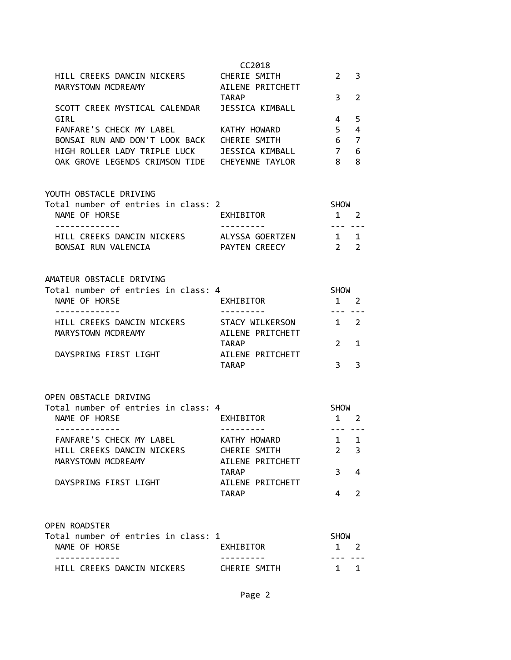| HILL CREEKS DANCIN NICKERS                                                                       | CHERIE SMITH                        | $\mathbf{1}$                                | 1           |
|--------------------------------------------------------------------------------------------------|-------------------------------------|---------------------------------------------|-------------|
| <b>OPEN ROADSTER</b><br>Total number of entries in class: 1<br>NAME OF HORSE                     | EXHIBITOR                           | <b>SHOW</b><br>$\mathbf{1}$                 | 2           |
| DAYSPRING FIRST LIGHT                                                                            | AILENE PRITCHETT<br><b>TARAP</b>    | 4                                           | 2           |
| MARYSTOWN MCDREAMY                                                                               | AILENE PRITCHETT<br><b>TARAP</b>    | 3                                           | 4           |
| FANFARE'S CHECK MY LABEL<br>HILL CREEKS DANCIN NICKERS                                           | KATHY HOWARD<br>CHERIE SMITH        | 1<br>$\overline{2}$                         | 1<br>3      |
| OPEN OBSTACLE DRIVING<br>Total number of entries in class: 4<br>NAME OF HORSE<br>-------------   | EXHIBITOR                           | SHOW<br>$1 \quad 2$<br>--- ---              |             |
|                                                                                                  | TARAP                               | 3 <sup>7</sup>                              | 3           |
| DAYSPRING FIRST LIGHT                                                                            | TARAP<br>AILENE PRITCHETT           | $\overline{2}$                              | 1           |
| HILL CREEKS DANCIN NICKERS<br>MARYSTOWN MCDREAMY                                                 | STACY WILKERSON<br>AILENE PRITCHETT | $1 \quad 2$                                 |             |
| AMATEUR OBSTACLE DRIVING<br>Total number of entries in class: 4<br>NAME OF HORSE<br>. <u>.</u> . | EXHIBITOR                           | <b>SHOW</b><br>$1 \quad 2$<br>$\frac{1}{2}$ |             |
| HILL CREEKS DANCIN NICKERS ALYSSA GOERTZEN 1 1<br>BONSAI RUN VALENCIA                            | PAYTEN CREECY                       | $2 \quad 2$                                 |             |
| YOUTH OBSTACLE DRIVING<br>Total number of entries in class: 2<br>NAME OF HORSE<br>-------------  | EXHIBITOR<br>----------             | SHOW<br>$1 \quad 2$<br>. <b>.</b>           |             |
| HIGH ROLLER LADY TRIPLE LUCK JESSICA KIMBALL<br>OAK GROVE LEGENDS CRIMSON TIDE CHEYENNE TAYLOR   |                                     | $\overline{7}$<br>- 8                       | 6<br>8      |
| GIRL<br>FANFARE'S CHECK MY LABEL KATHY HOWARD<br>BONSAI RUN AND DON'T LOOK BACK CHERIE SMITH     |                                     | 4<br>$5 -$<br>6 <sup>6</sup>                | 5<br>4<br>7 |
| SCOTT CREEK MYSTICAL CALENDAR                                                                    | TARAP<br>JESSICA KIMBALL            | 3                                           | 2           |
| HILL CREEKS DANCIN NICKERS CHERIE SMITH<br>MARYSTOWN MCDREAMY                                    | CC2018<br>AILENE PRITCHETT          | $2^{\circ}$                                 | 3           |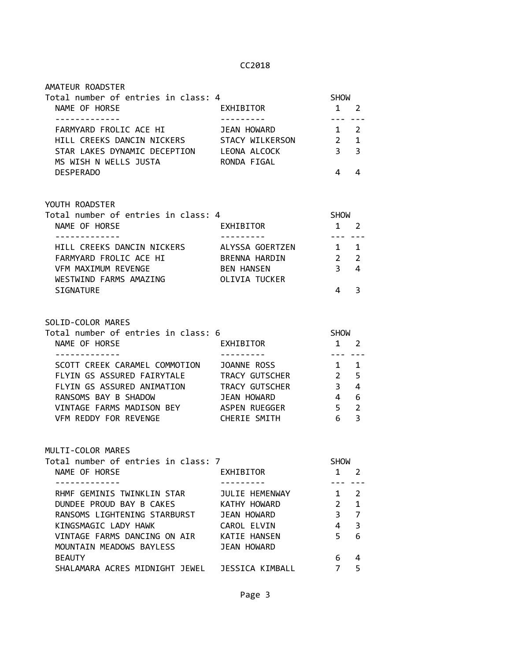| Total number of entries in class: 4                                                        |                         | <b>SHOW</b>                  |                |
|--------------------------------------------------------------------------------------------|-------------------------|------------------------------|----------------|
| NAME OF HORSE<br>-------------                                                             | EXHIBITOR               | 1 2<br>$\frac{1}{2}$         |                |
| FARMYARD FROLIC ACE HI JEAN HOWARD                                                         |                         | $1 \quad 2$                  |                |
| HILL CREEKS DANCIN NICKERS STACY WILKERSON 2 1                                             |                         |                              |                |
| STAR LAKES DYNAMIC DECEPTION LEONA ALCOCK                                                  |                         | $\overline{3}$               | $\overline{3}$ |
| MS WISH N WELLS JUSTA                                                                      | RONDA FIGAL             |                              |                |
| <b>DESPERADO</b>                                                                           |                         | 4                            | 4              |
| YOUTH ROADSTER                                                                             |                         |                              |                |
| Total number of entries in class: 4                                                        |                         | SHOW                         |                |
| NAME OF HORSE                                                                              | EXHIBITOR               | $1 \quad 2$                  |                |
| . <u>.</u> .<br>HILL CREEKS DANCIN NICKERS ALYSSA GOERTZEN                                 |                         | $\frac{1}{2}$<br>$1 \quad 1$ |                |
| FARMYARD FROLIC ACE HI                                                                     | BRENNA HARDIN           | $\overline{2}$               | $\overline{2}$ |
| VFM MAXIMUM REVENGE                                                                        | <b>BEN HANSEN</b>       | 3 <sup>7</sup>               | 4              |
| WESTWIND FARMS AMAZING OLIVIA TUCKER                                                       |                         |                              |                |
| SIGNATURE                                                                                  |                         | $\overline{4}$               | 3              |
| SOLID-COLOR MARES<br>Total number of entries in class: 6<br>NAME OF HORSE<br>------------- | EXHIBITOR<br>---------- | SHOW<br>$1 \quad 2$          |                |
| SCOTT CREEK CARAMEL COMMOTION JOANNE ROSS                                                  |                         | $1 \quad 1$                  |                |
| FLYIN GS ASSURED FAIRYTALE TRACY GUTSCHER                                                  |                         | $2^{\circ}$                  | 5              |
| FLYIN GS ASSURED ANIMATION TRACY GUTSCHER<br>RANSOMS BAY P SHADOW TRANS HOUSED             |                         | 3 <sup>7</sup>               | 4              |
| RANSOMS BAY B SHADOW                                                                       | JEAN HOWARD             | $\overline{4}$               | 6              |
| VINTAGE FARMS MADISON BEY ASPEN RUEGGER                                                    |                         | 5 <sup>7</sup>               | $\overline{2}$ |
| VFM REDDY FOR REVENGE CHERIE SMITH                                                         |                         | 6 —                          | $\overline{3}$ |
| MULTI-COLOR MARES                                                                          |                         |                              |                |
| Total number of entries in class: 7                                                        |                         | <b>SHOW</b>                  |                |
| NAME OF HORSE                                                                              | EXHIBITOR               | 1                            | 2              |
| RHMF GEMINIS TWINKLIN STAR                                                                 | JULIE HEMENWAY          | 1                            | $\overline{2}$ |
| DUNDEE PROUD BAY B CAKES                                                                   | KATHY HOWARD            | $\overline{2}$               | $\mathbf{1}$   |
| RANSOMS LIGHTENING STARBURST                                                               | JEAN HOWARD             | 3                            | $\overline{7}$ |
| KINGSMAGIC LADY HAWK                                                                       | CAROL ELVIN             | 4                            | 3              |
| VINTAGE FARMS DANCING ON AIR                                                               | KATIE HANSEN            | 5                            | 6              |
| MOUNTAIN MEADOWS BAYLESS                                                                   | <b>JEAN HOWARD</b>      |                              |                |
| <b>BEAUTY</b>                                                                              |                         | 6                            | 4              |
| SHALAMARA ACRES MIDNIGHT JEWEL JESSICA KIMBALL                                             |                         | 7                            | 5              |
|                                                                                            |                         |                              |                |

AMATEUR ROADSTER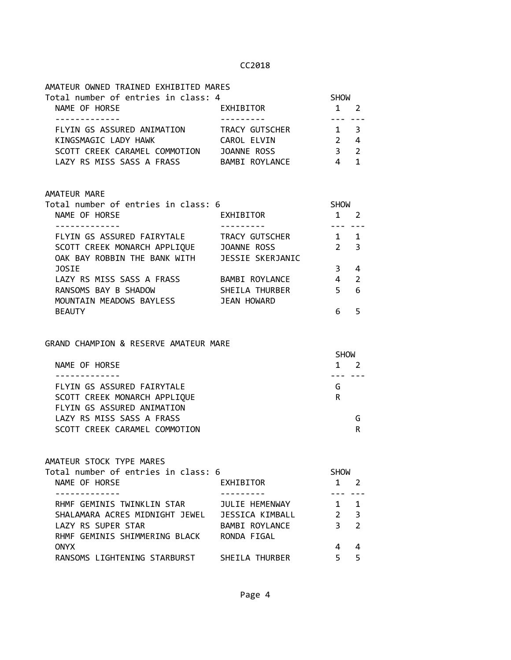| AMATEUR OWNED TRAINED EXHIBITED MARES                         |                |                |               |  |
|---------------------------------------------------------------|----------------|----------------|---------------|--|
| Total number of entries in class: 4                           |                | <b>SHOW</b>    |               |  |
| NAME OF HORSE                                                 | EXHIBITOR      | 1              | $\mathcal{P}$ |  |
|                                                               |                |                |               |  |
| FLYIN GS ASSURED ANIMATION                                    | TRACY GUTSCHER | $\mathbf{1}$   | 3             |  |
| KINGSMAGIC LADY HAWK                                          | CAROL ELVIN    | $\overline{2}$ | 4             |  |
| SCOTT CREEK CARAMEL COMMOTION     JOANNE ROSS                 |                | 3 <sup>7</sup> | 2             |  |
| LAZY RS MISS SASS A FRASS BAMBI ROYLANCE                      |                | 4              | $\mathbf{1}$  |  |
| AMATEUR MARE                                                  |                |                |               |  |
| Total number of entries in class: 6                           |                | <b>SHOW</b>    |               |  |
| NAME OF HORSE                                                 | EXHIBITOR      | 1              | $\mathcal{P}$ |  |
|                                                               |                |                | $\mathbf{1}$  |  |
| FLYIN GS ASSURED FAIRYTALE                                    | TRACY GUTSCHER | $\mathbf{1}$   |               |  |
| SCOTT CREEK MONARCH APPLIQUE JOANNE ROSS                      |                | $\mathcal{P}$  | 3             |  |
| OAK BAY ROBBIN THE BANK WITH JESSIE SKERJANIC<br><b>JOSIE</b> |                | 3              | 4             |  |

| JOSTE                     |                | 3   |  |
|---------------------------|----------------|-----|--|
| LAZY RS MISS SASS A FRASS | BAMBI ROYLANCE | 4 2 |  |
| RANSOMS BAY B SHADOW      | SHEILA THURBER | 56  |  |
| MOUNTAIN MEADOWS BAYLESS  | JEAN HOWARD    |     |  |
| <b>BEAUTY</b>             |                | 6.  |  |

## GRAND CHAMPION & RESERVE AMATEUR MARE

|                               | <b>SHOW</b> |
|-------------------------------|-------------|
| NAME OF HORSE                 |             |
|                               |             |
| FLYIN GS ASSURED FAIRYTALE    | G           |
| SCOTT CREEK MONARCH APPLIQUE  | R           |
| FLYIN GS ASSURED ANIMATION    |             |
| LAZY RS MISS SASS A FRASS     |             |
| SCOTT CREEK CARAMEL COMMOTION | R           |

#### AMATEUR STOCK TYPE MARES

| Total number of entries in class: 6 |                 | <b>SHOW</b> |                |  |
|-------------------------------------|-----------------|-------------|----------------|--|
| NAME OF HORSE                       | EXHIBITOR       |             |                |  |
|                                     |                 |             |                |  |
| RHMF GEMINIS TWINKLIN STAR          | JULIE HEMENWAY  |             | 1              |  |
| SHALAMARA ACRES MIDNIGHT JEWEL      | JESSICA KIMBALL |             | $\mathbf{R}$   |  |
| LAZY RS SUPER STAR                  | BAMBI ROYLANCE  | 3           | $\overline{2}$ |  |
| RHMF GEMINIS SHIMMERING BLACK       | RONDA FIGAL     |             |                |  |
| <b>ONYX</b>                         |                 |             | 4              |  |
| RANSOMS LIGHTENING STARBURST        | SHEILA THURBER  |             |                |  |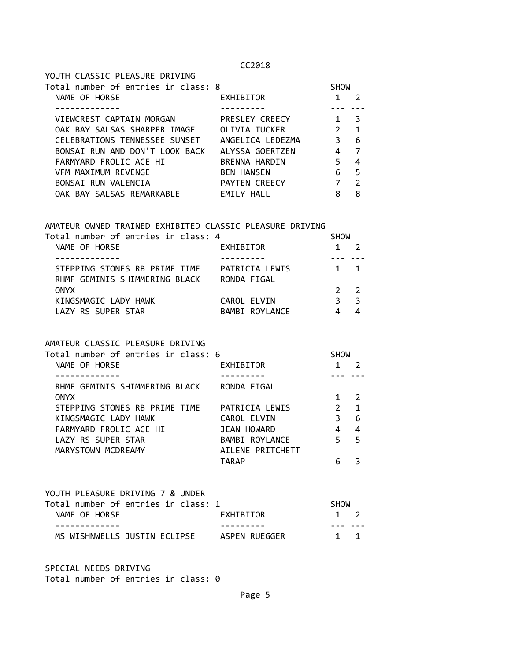| YOUTH CLASSIC PLEASURE DRIVING      |                   |               |               |
|-------------------------------------|-------------------|---------------|---------------|
| Total number of entries in class: 8 |                   | <b>SHOW</b>   |               |
| NAME OF HORSE                       | EXHIBITOR         |               | $\mathcal{P}$ |
|                                     |                   |               |               |
| VIEWCREST CAPTAIN MORGAN            | PRESLEY CREECY    | 1             | 3             |
| OAK BAY SALSAS SHARPER IMAGE        | OLIVIA TUCKER     | $\mathcal{P}$ | 1             |
| CELEBRATIONS TENNESSEE SUNSET       | ANGELICA LEDEZMA  | З             | 6             |
| BONSAI RUN AND DON'T LOOK BACK      | ALYSSA GOERTZEN   | 4             | 7             |
| FARMYARD FROLIC ACE HI              | BRENNA HARDIN     | 5             | 4             |
| VFM MAXIMUM REVENGE                 | <b>BEN HANSEN</b> | 6             | 5             |
| BONSAI RUN VALENCIA                 | PAYTEN CREECY     | 7             | $\mathcal{P}$ |
| OAK BAY SALSAS REMARKABLE           | <b>EMILY HALL</b> | 8             | 8             |

#### AMATEUR OWNED TRAINED EXHIBITED CLASSIC PLEASURE DRIVING

| Total number of entries in class: 4 |                | <b>SHOW</b>    |              |  |
|-------------------------------------|----------------|----------------|--------------|--|
| NAME OF HORSE                       | EXHIBITOR      |                |              |  |
|                                     |                |                |              |  |
| STEPPING STONES RB PRIME TIME       | PATRICIA LEWIS |                | $1 \quad 1$  |  |
| RHMF GEMINIS SHIMMERING BLACK       | RONDA FIGAL    |                |              |  |
| <b>ONYX</b>                         |                | 2 <sub>2</sub> |              |  |
| KINGSMAGIC LADY HAWK                | CAROL ELVIN    | 3              | $\mathbf{R}$ |  |
| LAZY RS SUPER STAR                  | BAMBI ROYLANCE |                |              |  |

#### AMATEUR CLASSIC PLEASURE DRIVING

| Total number of entries in class: 6 |                  | <b>SHOW</b>   |               |  |
|-------------------------------------|------------------|---------------|---------------|--|
| NAME OF HORSE                       | EXHIBITOR        |               |               |  |
|                                     |                  |               |               |  |
| RHMF GEMINIS SHIMMERING BLACK       | RONDA FIGAL      |               |               |  |
| <b>ONYX</b>                         |                  |               | $\mathcal{P}$ |  |
| STEPPING STONES RB PRIME TIME       | PATRICIA LEWIS   | $\mathcal{P}$ | 1             |  |
| KINGSMAGIC LADY HAWK                | CAROL ELVIN      | ξ             | 6             |  |
| FARMYARD FROLIC ACE HI              | JEAN HOWARD      | 4             | 4             |  |
| LAZY RS SUPER STAR                  | BAMBI ROYLANCE   | 5             | - 5           |  |
| MARYSTOWN MCDREAMY                  | AILENE PRITCHETT |               |               |  |
|                                     | <b>TARAP</b>     |               |               |  |

## YOUTH PLEASURE DRIVING 7 & UNDER Total number of entries in class: 1 SHOW NAME OF HORSE **EXHIBITOR** 1 2 ------------- --------- --- --- MS WISHNWELLS JUSTIN ECLIPSE ASPEN RUEGGER 1 1

SPECIAL NEEDS DRIVING Total number of entries in class: 0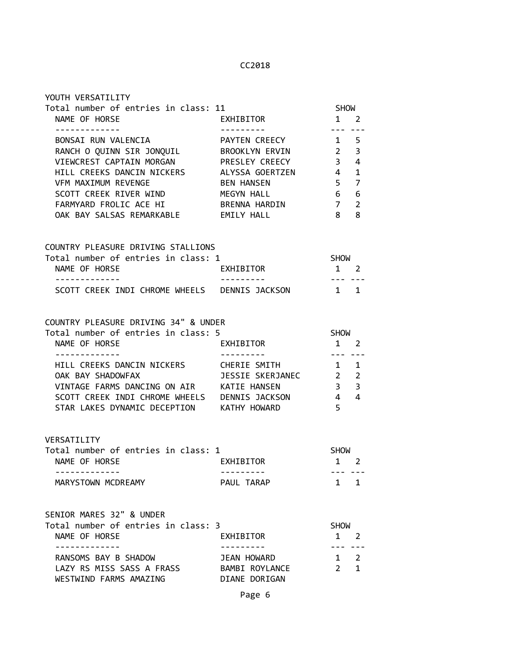| Total number of entries in class: 11                |                           |                              | <b>SHOW</b>            |  |
|-----------------------------------------------------|---------------------------|------------------------------|------------------------|--|
| NAME OF HORSE<br><u> - - - - - - - - - - - - -</u>  | EXHIBITOR                 | $1 \quad 2$<br>بالمعاملتين   |                        |  |
| BONSAI RUN VALENCIA                                 | PAYTEN CREECY 1 5         |                              |                        |  |
| RANCH O QUINN SIR JONQUIL BROOKLYN ERVIN 2 3        |                           |                              |                        |  |
| VIEWCREST CAPTAIN MORGAN PRESLEY CREECY 3 4         |                           |                              |                        |  |
| HILL CREEKS DANCIN NICKERS ALYSSA GOERTZEN 4 1      |                           |                              |                        |  |
| VFM MAXIMUM REVENGE                                 | BEN HANSEN                | 5 <sub>7</sub>               |                        |  |
| SCOTT CREEK RIVER WIND                              | MEGYN HALL                | 6 6                          |                        |  |
| FARMYARD FROLIC ACE HI                              | BRENNA HARDIN             | 7 <sup>7</sup>               | $\overline{2}$         |  |
| OAK BAY SALSAS REMARKABLE EMILY HALL                |                           | 8 8                          |                        |  |
| COUNTRY PLEASURE DRIVING STALLIONS                  |                           |                              |                        |  |
| Total number of entries in class: 1                 | EXHIBITOR                 | SHOW                         |                        |  |
| NAME OF HORSE                                       |                           | $1 \quad 2$<br>بالمسار بمسار |                        |  |
| SCOTT CREEK INDI CHROME WHEELS DENNIS JACKSON 1 1   |                           |                              |                        |  |
| COUNTRY PLEASURE DRIVING 34" & UNDER                |                           |                              |                        |  |
| Total number of entries in class: 5                 |                           | <b>SHOW</b>                  |                        |  |
| NAME OF HORSE                                       | EXHIBITOR                 | $1\quad 2$                   |                        |  |
| -------------                                       | <u> - - - - - - - - -</u> |                              |                        |  |
| HILL CREEKS DANCIN NICKERS CHERIE SMITH             |                           | $1 \quad 1$                  |                        |  |
| OAK BAY SHADOWFAX <b>DESSIE SKERJANEC</b> 2 2       |                           |                              |                        |  |
| VINTAGE FARMS DANCING ON AIR KATIE HANSEN 3 3 3     |                           |                              |                        |  |
| SCOTT CREEK INDI CHROME WHEELS DENNIS JACKSON 4 4 4 |                           |                              |                        |  |
| STAR LAKES DYNAMIC DECEPTION KATHY HOWARD           |                           | 5 <sup>1</sup>               |                        |  |
| VERSATILITY                                         |                           |                              |                        |  |
| Total number of entries in class: 1                 |                           | <b>SHOW</b>                  |                        |  |
| NAME OF HORSE                                       | EXHIBITOR                 | $1 \quad 2$                  |                        |  |
| -------------<br>MARYSTOWN MCDREAMY                 | ----------<br>PAUL TARAP  |                              | --- ---<br>$1 \quad 1$ |  |
| SENIOR MARES 32" & UNDER                            |                           |                              |                        |  |
| Total number of entries in class: 3                 |                           | <b>SHOW</b>                  |                        |  |
| NAME OF HORSE<br>-------------                      | EXHIBITOR<br>---------    |                              | $1 \quad 2$<br>--- --- |  |
| RANSOMS BAY B SHADOW                                | JEAN HOWARD               | $1 \quad 2$                  |                        |  |
| LAZY RS MISS SASS A FRASS                           | BAMBI ROYLANCE            |                              | $2 \quad 1$            |  |
| WESTWIND FARMS AMAZING                              | DIANE DORIGAN             |                              |                        |  |
|                                                     |                           |                              |                        |  |

YOUTH VERSATILITY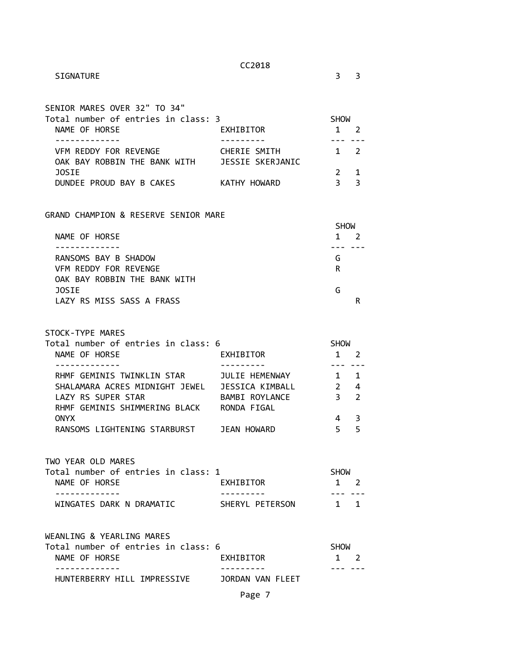| SENIOR MARES OVER 32" TO 34"<br>Total number of entries in class: 3 |                  | <b>SHOW</b> |               |
|---------------------------------------------------------------------|------------------|-------------|---------------|
| NAME OF HORSE                                                       | EXHIBITOR        |             |               |
|                                                                     |                  |             |               |
| VFM REDDY FOR REVENGE                                               | CHERIE SMITH     |             | $\mathcal{L}$ |
| OAK BAY ROBBIN THE BANK WITH                                        | JESSIE SKERJANIC |             |               |
| <b>JOSTE</b>                                                        |                  |             |               |
| DUNDEE PROUD BAY B CAKES                                            | KATHY HOWARD     |             | 3             |
|                                                                     |                  |             |               |

GRAND CHAMPION & RESERVE SENIOR MARE

|                              | <b>SHOW</b> |
|------------------------------|-------------|
| NAME OF HORSE                |             |
|                              |             |
| RANSOMS BAY B SHADOW         | G           |
| VFM REDDY FOR REVENGE        | R           |
| OAK BAY ROBBIN THE BANK WITH |             |
| <b>JOSTE</b>                 | G           |
| LAZY RS MISS SASS A FRASS    |             |

STOCK-TYPE MARES

| Total number of entries in class: 6 |                 | <b>SHOW</b> |                |  |
|-------------------------------------|-----------------|-------------|----------------|--|
| NAME OF HORSE                       | EXHIBITOR       |             |                |  |
|                                     |                 |             |                |  |
| RHMF GEMINIS TWINKLIN STAR          | JULIE HEMENWAY  |             | $\mathbf{1}$   |  |
| SHALAMARA ACRES MIDNIGHT JEWEL      | JESSICA KIMBALL |             | 4              |  |
| LAZY RS SUPER STAR                  | BAMBI ROYLANCE  | 3           | $\overline{2}$ |  |
| RHMF GEMINIS SHIMMERING BLACK       | RONDA FIGAL     |             |                |  |
| <b>ONYX</b>                         |                 | 4           |                |  |
| RANSOMS LIGHTENING STARBURST        | JEAN HOWARD     |             | 5              |  |

TWO YEAR OLD MARES Total number of entries in class: 1 SHOW NAME OF HORSE EXHIBITOR 1 2 ------------- --------- --- --- WINGATES DARK N DRAMATIC SHERYL PETERSON 1 1

| WEANLING & YEARLING MARES           |                  |             |             |
|-------------------------------------|------------------|-------------|-------------|
| Total number of entries in class: 6 |                  | <b>SHOW</b> |             |
| NAME OF HORSE                       | EXHIBITOR        |             | $1 \quad 2$ |
|                                     |                  |             |             |
| HUNTERBERRY HILL IMPRESSIVE         | JORDAN VAN FLEET |             |             |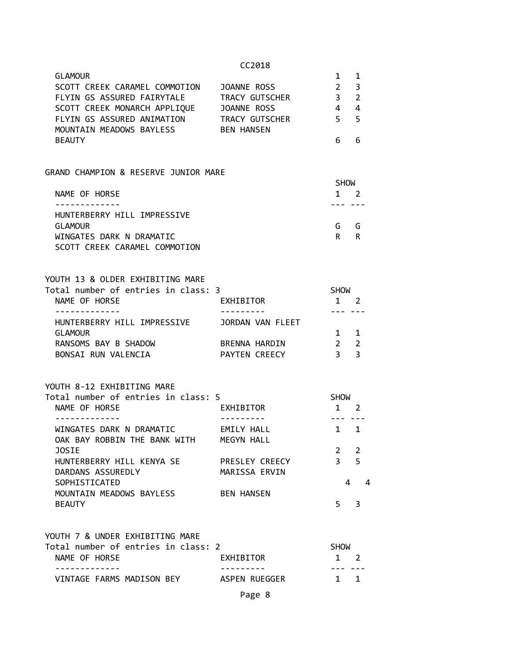| n<br>ь<br>د •<br>т.<br>н |  |
|--------------------------|--|
|--------------------------|--|

| <b>GLAMOUR</b>                |                   |                |     |
|-------------------------------|-------------------|----------------|-----|
| SCOTT CREEK CARAMEL COMMOTION | JOANNE ROSS       | $\mathcal{P}$  | - 3 |
| FLYIN GS ASSURED FAIRYTALE    | TRACY GUTSCHER    | 3 <sub>2</sub> |     |
| SCOTT CREEK MONARCH APPLIQUE  | JOANNE ROSS       |                | -4  |
| FLYIN GS ASSURED ANIMATION    | TRACY GUTSCHER    | 5 5            |     |
| MOUNTAIN MEADOWS BAYLESS      | <b>BEN HANSEN</b> |                |     |
| <b>BEAUTY</b>                 |                   |                |     |

#### GRAND CHAMPION & RESERVE JUNIOR MARE

|                               | <b>SHOW</b> |   |  |
|-------------------------------|-------------|---|--|
| NAME OF HORSE                 | 1           |   |  |
|                               |             |   |  |
| HUNTERBERRY HILL IMPRESSIVE   |             |   |  |
| <b>GLAMOUR</b>                | G.          | G |  |
| WINGATES DARK N DRAMATIC      | R           | R |  |
| SCOTT CREEK CARAMEL COMMOTION |             |   |  |

| YOUTH 13 & OLDER EXHIBITING MARE<br>Total number of entries in class: 3 |                      | <b>SHOW</b> |                |
|-------------------------------------------------------------------------|----------------------|-------------|----------------|
|                                                                         |                      |             |                |
| NAME OF HORSE                                                           | EXHIBITOR            |             |                |
|                                                                         |                      |             |                |
| HUNTERBERRY HILL IMPRESSIVE                                             | JORDAN VAN FLEET     |             |                |
| GLAMOUR                                                                 |                      |             | $\blacksquare$ |
| RANSOMS BAY B SHADOW                                                    | BRENNA HARDIN        |             | $\mathcal{L}$  |
| BONSAI RUN VALENCIA                                                     | <b>PAYTEN CREECY</b> |             |                |

#### YOUTH 8-12 EXHIBITING MARE

| <b>EXHIBITOR</b>  |                                     | 2                        |                         |
|-------------------|-------------------------------------|--------------------------|-------------------------|
|                   |                                     |                          |                         |
| EMILY HALL        |                                     | $\overline{\mathbf{1}}$  |                         |
| MEGYN HALL        |                                     |                          |                         |
|                   |                                     | $\overline{\phantom{a}}$ |                         |
| PRESLEY CREECY    | 3                                   |                          |                         |
| MARISSA ERVIN     |                                     |                          |                         |
|                   |                                     |                          |                         |
| <b>BEN HANSEN</b> |                                     |                          |                         |
|                   |                                     |                          |                         |
|                   | Total number of entries in class: 5 |                          | <b>SHOW</b><br>- 5<br>4 |

# YOUTH 7 & UNDER EXHIBITING MARE Total number of entries in class: 2 SHOW NAME OF HORSE **EXHIBITOR** 1 2

| --------                  | -------       |  |
|---------------------------|---------------|--|
| VINTAGE FARMS MADISON BEY | ASPEN RUEGGER |  |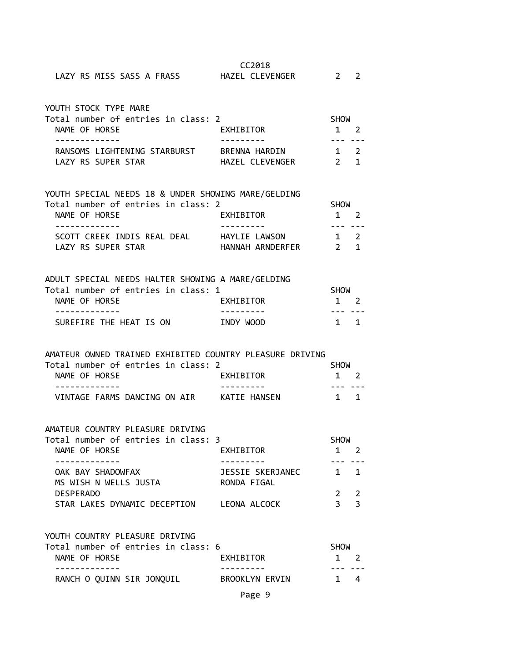|                                                     | CC2018          |                |               |  |
|-----------------------------------------------------|-----------------|----------------|---------------|--|
| LAZY RS MISS SASS A FRASS HAZEL CLEVENGER           |                 | $\overline{2}$ | $\mathcal{L}$ |  |
| YOUTH STOCK TYPE MARE                               |                 |                |               |  |
| Total number of entries in class: 2                 |                 | <b>SHOW</b>    |               |  |
| NAME OF HORSE                                       | EXHIBITOR       | 1              | 2             |  |
|                                                     |                 |                |               |  |
| RANSOMS LIGHTENING STARBURST BRENNA HARDIN          |                 | $1 \quad 2$    |               |  |
| LAZY RS SUPER STAR                                  | HAZEL CLEVENGER | $2^{\circ}$    | $\mathbf{1}$  |  |
| YOUTH SPECIAL NEEDS 18 & UNDER SHOWING MARE/GELDING |                 |                |               |  |
| Total number of entries in class: 2                 |                 | <b>SHOW</b>    |               |  |
| NAME OF HORSE                                       | EXHIBITOR       |                |               |  |
|                                                     |                 |                |               |  |

| <b>IVATIL UI IIUI</b> NJL   | LAILDIUU         |             | $\mathbf{1}$ $\mathbf{2}$ |
|-----------------------------|------------------|-------------|---------------------------|
|                             |                  |             |                           |
| SCOTT CREEK INDIS REAL DEAL | HAYLIE LAWSON    | $1 \quad 2$ |                           |
| LAZY RS SUPER STAR          | HANNAH ARNDERFER | 2 1         |                           |

| ADULT SPECIAL NEEDS HALTER SHOWING A MARE/GELDING |           |             |             |
|---------------------------------------------------|-----------|-------------|-------------|
| Total number of entries in class: 1               |           | <b>SHOW</b> |             |
| NAME OF HORSE                                     | EXHIBITOR |             | $1 \quad 2$ |
|                                                   |           |             |             |
| SUREFIRE THE HEAT IS ON                           | INDY WOOD |             | 1 1         |

## AMATEUR OWNED TRAINED EXHIBITED COUNTRY PLEASURE DRIVING

| Total number of entries in class: 2 |              | <b>SHOW</b> |
|-------------------------------------|--------------|-------------|
| NAME OF HORSE                       | EXHIBITOR    | $1 \quad 2$ |
|                                     |              |             |
| VINTAGE FARMS DANCING ON AIR        | KATIE HANSEN | 1 1         |

#### AMATEUR COUNTRY PLEASURE DRIVING

| Total number of entries in class: 3 |                  | <b>SHOW</b>    |  |
|-------------------------------------|------------------|----------------|--|
| NAME OF HORSE                       | EXHIBITOR        |                |  |
|                                     |                  |                |  |
| OAK BAY SHADOWFAX                   | JESSIE SKERJANEC | 1 1            |  |
| MS WISH N WELLS JUSTA               | RONDA FIGAL      |                |  |
| <b>DESPERADO</b>                    |                  | 2 <sub>2</sub> |  |
| STAR LAKES DYNAMIC DECEPTION        | LEONA ALCOCK     |                |  |

#### YOUTH COUNTRY PLEASURE DRIVING

| Total number of entries in class: 6 |                | <b>SHOW</b> |
|-------------------------------------|----------------|-------------|
| NAME OF HORSE                       | EXHIBITOR      | $1 \quad 2$ |
|                                     |                |             |
| RANCH O QUINN SIR JONQUIL           | BROOKLYN FRVIN | $1 \quad 4$ |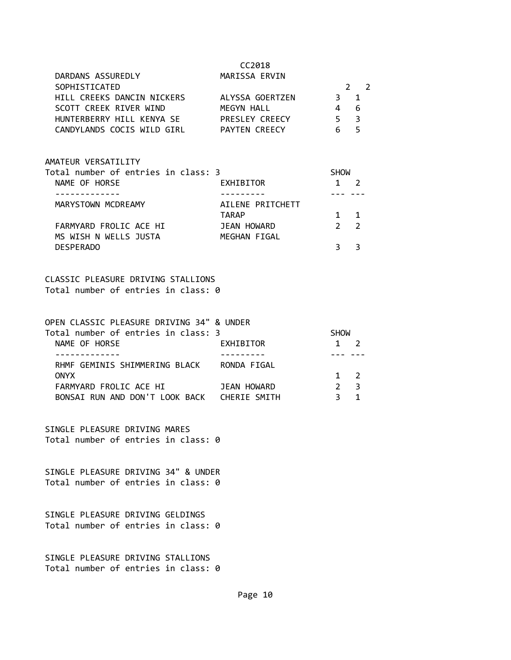| 01 |
|----|
|----|

| DARDANS ASSUREDLY          | MARISSA ERVIN        |    |                |
|----------------------------|----------------------|----|----------------|
| SOPHISTICATED              |                      |    | 2 <sub>2</sub> |
| HILL CREEKS DANCIN NICKERS | ALYSSA GOERTZEN      | 3. | $\overline{1}$ |
| SCOTT CREEK RIVER WIND     | MEGYN HALL           |    | - 6            |
| HUNTERBERRY HILL KENYA SE  | PRESLEY CREECY       | 5. | ્ર             |
| CANDYLANDS COCIS WILD GIRL | <b>PAYTEN CREECY</b> |    | ∽              |

#### AMATEUR VERSATILITY

| Total number of entries in class: 3 |                  | <b>SHOW</b>    |             |  |
|-------------------------------------|------------------|----------------|-------------|--|
| NAME OF HORSE                       | EXHIBITOR        |                |             |  |
|                                     |                  |                |             |  |
| MARYSTOWN MCDREAMY                  | AILENE PRITCHETT |                |             |  |
|                                     | <b>TARAP</b>     |                | $1 \quad 1$ |  |
| FARMYARD FROLIC ACE HI              | JEAN HOWARD      | 2 <sub>2</sub> |             |  |
| MS WISH N WELLS JUSTA               | MEGHAN FIGAL     |                |             |  |
| <b>DESPERADO</b>                    |                  |                |             |  |

#### CLASSIC PLEASURE DRIVING STALLIONS Total number of entries in class: 0

| OPEN CLASSIC PLEASURE DRIVING 34" & UNDER |              |             |              |  |
|-------------------------------------------|--------------|-------------|--------------|--|
| Total number of entries in class: 3       |              | <b>SHOW</b> |              |  |
| NAME OF HORSE                             | EXHIBITOR    |             |              |  |
|                                           |              |             |              |  |
| RHMF GEMINIS SHIMMERING BLACK             | RONDA FIGAL  |             |              |  |
| <b>ONYX</b>                               |              | $1 \quad 2$ |              |  |
| FARMYARD FROLIC ACE HI                    | JEAN HOWARD  |             | $\mathbf{R}$ |  |
| BONSAI RUN AND DON'T LOOK BACK            | CHERIE SMITH |             |              |  |

SINGLE PLEASURE DRIVING MARES Total number of entries in class: 0

SINGLE PLEASURE DRIVING 34" & UNDER Total number of entries in class: 0

SINGLE PLEASURE DRIVING GELDINGS Total number of entries in class: 0

SINGLE PLEASURE DRIVING STALLIONS Total number of entries in class: 0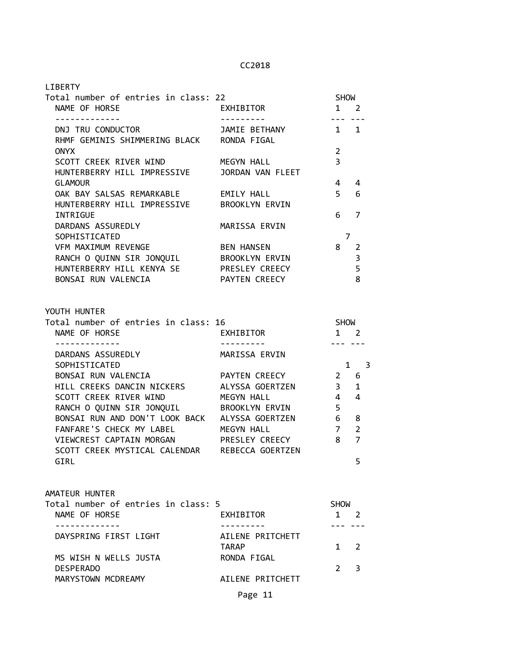| <b>LIBERTY</b>                                                                             |                              |                                                                                                                                                                                                                                                                                                                                                                                                             |                                      |
|--------------------------------------------------------------------------------------------|------------------------------|-------------------------------------------------------------------------------------------------------------------------------------------------------------------------------------------------------------------------------------------------------------------------------------------------------------------------------------------------------------------------------------------------------------|--------------------------------------|
| Total number of entries in class: 22                                                       |                              | <b>SHOW</b>                                                                                                                                                                                                                                                                                                                                                                                                 |                                      |
| NAME OF HORSE                                                                              | EXHIBITOR                    | $1 \quad 2$                                                                                                                                                                                                                                                                                                                                                                                                 |                                      |
| - - - - - - - - - - - - -<br>DNJ TRU CONDUCTOR                                             | JAMIE BETHANY                | $\frac{1}{2} \frac{1}{2} \frac{1}{2} \frac{1}{2} \frac{1}{2} \frac{1}{2} \frac{1}{2} \frac{1}{2} \frac{1}{2} \frac{1}{2} \frac{1}{2} \frac{1}{2} \frac{1}{2} \frac{1}{2} \frac{1}{2} \frac{1}{2} \frac{1}{2} \frac{1}{2} \frac{1}{2} \frac{1}{2} \frac{1}{2} \frac{1}{2} \frac{1}{2} \frac{1}{2} \frac{1}{2} \frac{1}{2} \frac{1}{2} \frac{1}{2} \frac{1}{2} \frac{1}{2} \frac{1}{2} \frac{$<br>$1 \quad 1$ |                                      |
| RHMF GEMINIS SHIMMERING BLACK RONDA FIGAL                                                  |                              |                                                                                                                                                                                                                                                                                                                                                                                                             |                                      |
| <b>ONYX</b>                                                                                |                              | $\overline{2}$                                                                                                                                                                                                                                                                                                                                                                                              |                                      |
| SCOTT CREEK RIVER WIND                                                                     | MEGYN HALL                   | $\overline{3}$                                                                                                                                                                                                                                                                                                                                                                                              |                                      |
| HUNTERBERRY HILL IMPRESSIVE                                                                | JORDAN VAN FLEET             |                                                                                                                                                                                                                                                                                                                                                                                                             |                                      |
| <b>GLAMOUR</b>                                                                             |                              | 4                                                                                                                                                                                                                                                                                                                                                                                                           | -4                                   |
| OAK BAY SALSAS REMARKABLE                                                                  | EMILY HALL                   | 5 <sup>1</sup>                                                                                                                                                                                                                                                                                                                                                                                              | 6                                    |
| HUNTERBERRY HILL IMPRESSIVE BROOKLYN ERVIN                                                 |                              |                                                                                                                                                                                                                                                                                                                                                                                                             |                                      |
| INTRIGUE                                                                                   |                              | 6                                                                                                                                                                                                                                                                                                                                                                                                           | 7                                    |
| DARDANS ASSUREDLY                                                                          | MARISSA ERVIN                |                                                                                                                                                                                                                                                                                                                                                                                                             |                                      |
| SOPHISTICATED                                                                              |                              | $\overline{7}$                                                                                                                                                                                                                                                                                                                                                                                              |                                      |
| VFM MAXIMUM REVENGE                                                                        | BEN HANSEN                   | 8                                                                                                                                                                                                                                                                                                                                                                                                           | $\overline{2}$                       |
| RANCH O QUINN SIR JONQUIL BROOKLYN ERVIN                                                   |                              |                                                                                                                                                                                                                                                                                                                                                                                                             | $\overline{3}$                       |
| HUNTERBERRY HILL KENYA SE PRESLEY CREECY                                                   |                              |                                                                                                                                                                                                                                                                                                                                                                                                             | 5<br>8                               |
| BONSAI RUN VALENCIA                                                                        | PAYTEN CREECY                |                                                                                                                                                                                                                                                                                                                                                                                                             |                                      |
|                                                                                            |                              |                                                                                                                                                                                                                                                                                                                                                                                                             |                                      |
| YOUTH HUNTER                                                                               |                              |                                                                                                                                                                                                                                                                                                                                                                                                             |                                      |
| Total number of entries in class: 16                                                       |                              | SHOW                                                                                                                                                                                                                                                                                                                                                                                                        |                                      |
| NAME OF HORSE                                                                              | EXHIBITOR                    | $1 \quad 2$                                                                                                                                                                                                                                                                                                                                                                                                 |                                      |
| . <u>.</u>                                                                                 |                              |                                                                                                                                                                                                                                                                                                                                                                                                             |                                      |
| DARDANS ASSUREDLY                                                                          | MARISSA ERVIN                |                                                                                                                                                                                                                                                                                                                                                                                                             |                                      |
| SOPHISTICATED                                                                              |                              |                                                                                                                                                                                                                                                                                                                                                                                                             | $1 \quad$<br>$\overline{\mathbf{3}}$ |
| BONSAI RUN VALENCIA                                                                        | PAYTEN CREECY                | $2 \quad 6$                                                                                                                                                                                                                                                                                                                                                                                                 |                                      |
| HILL CREEKS DANCIN NICKERS ALYSSA GOERTZEN                                                 |                              | 3 <sup>7</sup>                                                                                                                                                                                                                                                                                                                                                                                              | 1                                    |
| SCOTT CREEK RIVER WIND                                                                     | MEGYN HALL                   | $4 \quad$                                                                                                                                                                                                                                                                                                                                                                                                   | $\overline{4}$                       |
| RANCH O QUINN SIR JONQUIL BROOKLYN ERVIN<br>BONSAI RUN AND DON'T LOOK BACK ALYSSA GOERTZEN |                              | 5                                                                                                                                                                                                                                                                                                                                                                                                           |                                      |
| FANFARE'S CHECK MY LABEL                                                                   |                              | 6 <sub>8</sub><br>7 <sup>7</sup>                                                                                                                                                                                                                                                                                                                                                                            | $\overline{2}$                       |
| VIEWCREST CAPTAIN MORGAN                                                                   | MEGYN HALL<br>PRESLEY CREECY | 8                                                                                                                                                                                                                                                                                                                                                                                                           | $\overline{7}$                       |
| SCOTT CREEK MYSTICAL CALENDAR                                                              | REBECCA GOERTZEN             |                                                                                                                                                                                                                                                                                                                                                                                                             |                                      |
| GIRL                                                                                       |                              |                                                                                                                                                                                                                                                                                                                                                                                                             | 5                                    |
|                                                                                            |                              |                                                                                                                                                                                                                                                                                                                                                                                                             |                                      |
|                                                                                            |                              |                                                                                                                                                                                                                                                                                                                                                                                                             |                                      |
| AMATEUR HUNTER                                                                             |                              |                                                                                                                                                                                                                                                                                                                                                                                                             |                                      |
| Total number of entries in class: 5                                                        |                              | <b>SHOW</b>                                                                                                                                                                                                                                                                                                                                                                                                 |                                      |
| NAME OF HORSE                                                                              | EXHIBITOR                    | $1 \quad 2$                                                                                                                                                                                                                                                                                                                                                                                                 |                                      |
|                                                                                            |                              |                                                                                                                                                                                                                                                                                                                                                                                                             |                                      |
| DAYSPRING FIRST LIGHT                                                                      | AILENE PRITCHETT             |                                                                                                                                                                                                                                                                                                                                                                                                             |                                      |
|                                                                                            | TARAP                        | 1                                                                                                                                                                                                                                                                                                                                                                                                           | 2                                    |
| MS WISH N WELLS JUSTA                                                                      | RONDA FIGAL                  |                                                                                                                                                                                                                                                                                                                                                                                                             |                                      |
| <b>DESPERADO</b>                                                                           |                              | 2                                                                                                                                                                                                                                                                                                                                                                                                           | 3                                    |
| MARYSTOWN MCDREAMY                                                                         | AILENE PRITCHETT             |                                                                                                                                                                                                                                                                                                                                                                                                             |                                      |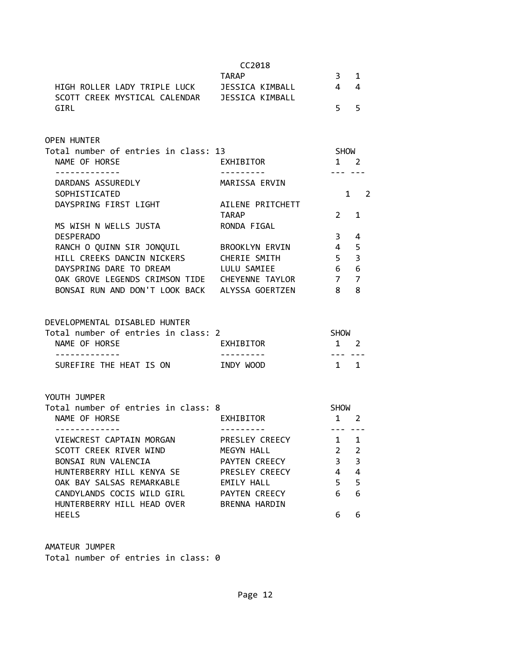|                                                       | CC2018                      |                                  |                         |
|-------------------------------------------------------|-----------------------------|----------------------------------|-------------------------|
|                                                       | <b>TARAP</b>                | 3 <sup>7</sup>                   | 1                       |
| HIGH ROLLER LADY TRIPLE LUCK JESSICA KIMBALL          |                             | $4\quad 4$                       |                         |
| SCOTT CREEK MYSTICAL CALENDAR JESSICA KIMBALL<br>GIRL |                             | 5 <sub>5</sub>                   |                         |
| <b>OPEN HUNTER</b>                                    |                             |                                  |                         |
| Total number of entries in class: 13                  |                             | SHOW                             |                         |
| NAME OF HORSE<br>-------------                        | EXHIBITOR                   | $1 \quad 2$<br>$\frac{1}{2}$     |                         |
| DARDANS ASSUREDLY                                     | MARISSA ERVIN               |                                  |                         |
| SOPHISTICATED                                         |                             |                                  | $1 \quad 2$             |
| DAYSPRING FIRST LIGHT                                 | AILENE PRITCHETT            |                                  |                         |
|                                                       | TARAP                       | $2 \quad 1$                      |                         |
| MS WISH N WELLS JUSTA                                 | RONDA FIGAL                 |                                  |                         |
| <b>DESPERADO</b>                                      |                             | 3 <sup>7</sup>                   | 4                       |
| RANCH O QUINN SIR JONQUIL BROOKLYN ERVIN              |                             | $\overline{4}$                   | 5                       |
| HILL CREEKS DANCIN NICKERS CHERIE SMITH               |                             | $5 -$                            | $\overline{\mathbf{3}}$ |
| DAYSPRING DARE TO DREAM LULU SAMIEE                   |                             | 6 6                              |                         |
| OAK GROVE LEGENDS CRIMSON TIDE CHEYENNE TAYLOR 7 7    |                             |                                  |                         |
| BONSAI RUN AND DON'T LOOK BACK ALYSSA GOERTZEN        |                             | 8 8                              |                         |
| DEVELOPMENTAL DISABLED HUNTER                         |                             |                                  |                         |
| Total number of entries in class: 2                   |                             | SHOW                             |                         |
| NAME OF HORSE<br>. <u>.</u>                           | EXHIBITOR<br>---------      | $1 \quad 2$<br>$- - - - - - - -$ |                         |
| SUREFIRE THE HEAT IS ON TNDY WOOD                     |                             | $1 \quad 1$                      |                         |
| YOUTH JUMPER                                          |                             |                                  |                         |
| Total number of entries in class: 8                   |                             | SHOW                             |                         |
| NAME OF HORSE                                         | EXHIBITOR                   | 1 2                              |                         |
| -------------<br>VIEWCREST CAPTAIN MORGAN             | ---------<br>PRESLEY CREECY | <u>--- ---</u><br>1              | $\mathbf 1$             |
| SCOTT CREEK RIVER WIND                                | MEGYN HALL                  | $\overline{2}$                   | $\overline{2}$          |
| BONSAI RUN VALENCIA                                   | PAYTEN CREECY               | 3                                | $\overline{3}$          |
| HUNTERBERRY HILL KENYA SE                             | PRESLEY CREECY              | $\overline{4}$                   | $\overline{4}$          |
| OAK BAY SALSAS REMARKABLE                             | <b>EMILY HALL</b>           | 5                                | 5                       |
| CANDYLANDS COCIS WILD GIRL                            | PAYTEN CREECY               | 6                                | 6                       |
| HUNTERBERRY HILL HEAD OVER                            | BRENNA HARDIN               |                                  |                         |
| <b>HEELS</b>                                          |                             | 6                                | 6                       |
|                                                       |                             |                                  |                         |

AMATEUR JUMPER Total number of entries in class: 0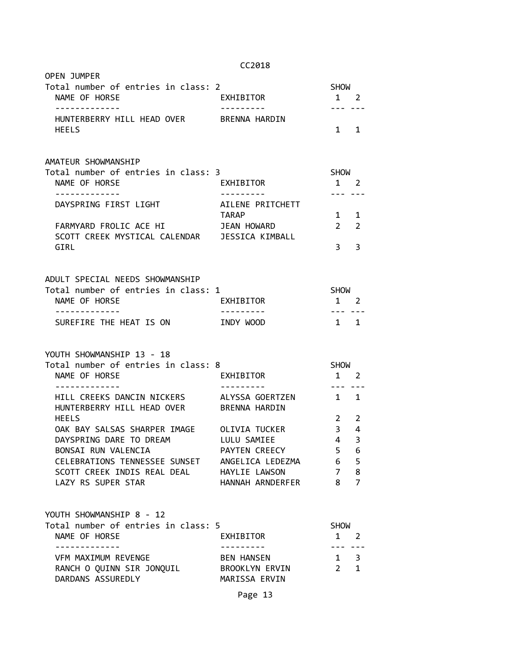| OPEN JUMPER<br>Total number of entries in class: 2<br>NAME OF HORSE               | EXHIBITOR                               | <b>SHOW</b><br>$1 \quad 2$ |                |
|-----------------------------------------------------------------------------------|-----------------------------------------|----------------------------|----------------|
| .<br>HUNTERBERRY HILL HEAD OVER BRENNA HARDIN<br><b>HEELS</b>                     |                                         | --- ---<br>$1 \quad 1$     |                |
| AMATEUR SHOWMANSHIP                                                               |                                         |                            |                |
| Total number of entries in class: 3<br>NAME OF HORSE                              | EXHIBITOR                               | SHOW<br>1 2                |                |
| . <u>- - - - - - - - - - -</u> -                                                  | . <b>.</b> .                            | --- ---                    |                |
| DAYSPRING FIRST LIGHT                                                             | AILENE PRITCHETT                        |                            |                |
|                                                                                   | TARAP                                   | $1 \quad 1$                |                |
| FARMYARD FROLIC ACE HI                                                            | JEAN HOWARD                             | $\overline{2}$             | 2              |
| SCOTT CREEK MYSTICAL CALENDAR JESSICA KIMBALL<br>GIRL                             |                                         | 3.                         | 3              |
|                                                                                   |                                         |                            |                |
| ADULT SPECIAL NEEDS SHOWMANSHIP                                                   |                                         |                            |                |
| Total number of entries in class: 1                                               |                                         | <b>SHOW</b>                |                |
| NAME OF HORSE                                                                     | EXHIBITOR                               | $1 \quad 2$                |                |
|                                                                                   |                                         |                            |                |
| . <u>.</u>                                                                        | . <u>.</u>                              | --- ---                    |                |
| SUREFIRE THE HEAT IS ON                                                           | INDY WOOD                               | $1 \quad 1$                |                |
| YOUTH SHOWMANSHIP 13 - 18<br>Total number of entries in class: 8<br>NAME OF HORSE | EXHIBITOR                               | SHOW<br>1 2                |                |
| HILL CREEKS DANCIN NICKERS<br>HUNTERBERRY HILL HEAD OVER                          | ALYSSA GOERTZEN<br><b>BRENNA HARDIN</b> | $1 \quad 1$                |                |
| <b>HEELS</b>                                                                      |                                         | $2^{\circ}$                | 2              |
| OAK BAY SALSAS SHARPER IMAGE OLIVIA TUCKER                                        |                                         | 3 <sup>7</sup>             | 4              |
| DAYSPRING DARE TO DREAM                                                           | LULU SAMIEE                             | 4                          | 3              |
| BONSAI RUN VALENCIA                                                               | PAYTEN CREECY                           | 5                          | 6              |
| CELEBRATIONS TENNESSEE SUNSET                                                     | ANGELICA LEDEZMA                        | 6                          | 5              |
| SCOTT CREEK INDIS REAL DEAL HAYLIE LAWSON                                         |                                         | $\overline{7}$             | 8              |
| LAZY RS SUPER STAR                                                                | HANNAH ARNDERFER                        | 8                          | $\overline{7}$ |
|                                                                                   |                                         |                            |                |
| YOUTH SHOWMANSHIP 8 - 12                                                          |                                         |                            |                |
| Total number of entries in class: 5<br>NAME OF HORSE                              | EXHIBITOR                               | <b>SHOW</b><br>$1 \quad 2$ |                |
| <u> - - - - - - - - - - - - -</u>                                                 | ----------                              | --- ---                    |                |
| VFM MAXIMUM REVENGE                                                               | BEN HANSEN                              | $1 \quad 3$                |                |
| RANCH O QUINN SIR JONQUIL BROOKLYN ERVIN<br>DARDANS ASSUREDLY                     | MARISSA ERVIN                           | $2 \quad 1$                | ---            |

## Page 13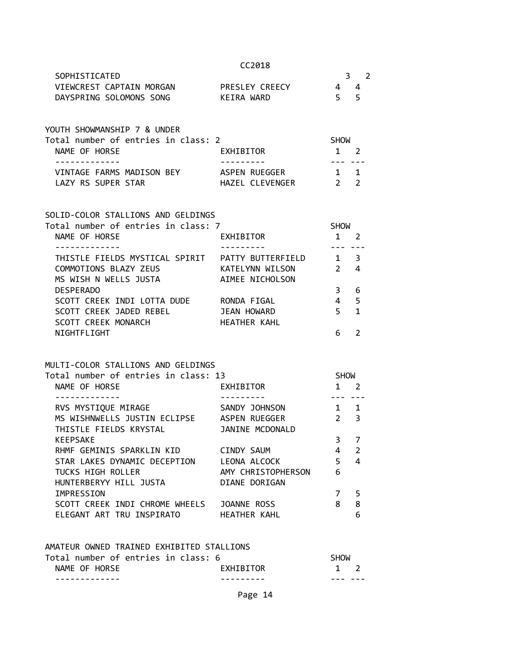|  |  | 2018 |  |  |
|--|--|------|--|--|
|--|--|------|--|--|

| SOPHISTICATED                       |                 |             |
|-------------------------------------|-----------------|-------------|
| VIEWCREST CAPTAIN MORGAN            | PRESLEY CREECY  | 4<br>4      |
| DAYSPRING SOLOMONS SONG             | KEIRA WARD      | 5<br>5      |
|                                     |                 |             |
| YOUTH SHOWMANSHIP 7 & UNDER         |                 |             |
| Total number of entries in class: 2 |                 | <b>SHOW</b> |
| NAME OF HORSE                       | EXHIBITOR       |             |
|                                     |                 |             |
| VINTAGE FARMS MADISON BEY           | ASPEN RUEGGER   |             |
| LAZY RS SUPER STAR                  | HAZEL CLEVENGER | 2           |

#### SOLID-COLOR STALLIONS AND GELDINGS

| Total number of entries in class: 7 |                   | <b>SHOW</b>   |    |
|-------------------------------------|-------------------|---------------|----|
| NAME OF HORSE                       | EXHIBITOR         |               |    |
|                                     |                   |               |    |
| THISTLE FIELDS MYSTICAL SPIRIT      | PATTY BUTTERFIELD |               | 3  |
| COMMOTIONS BLAZY ZEUS               | KATELYNN WILSON   | $\mathcal{P}$ | 4  |
| MS WISH N WELLS JUSTA               | AIMEE NICHOLSON   |               |    |
| <b>DESPERADO</b>                    |                   | З             | 6  |
| SCOTT CREEK INDI LOTTA DUDE         | RONDA FIGAL       | 4             | .5 |
| SCOTT CREEK JADED REBEL             | JEAN HOWARD       | 5             | 1  |
| SCOTT CREEK MONARCH                 | HEATHER KAHL      |               |    |
| NIGHTFLIGHT                         |                   |               |    |

## MULTI-COLOR STALLIONS AND GELDINGS

| Total number of entries in class: 13 |                    | <b>SHOW</b> |               |
|--------------------------------------|--------------------|-------------|---------------|
| NAME OF HORSE                        | EXHIBITOR          |             | $\mathcal{P}$ |
|                                      |                    |             |               |
| RVS MYSTIQUE MIRAGE                  | SANDY JOHNSON      | 1           | 1             |
| MS WISHNWELLS JUSTIN ECLIPSE         | ASPEN RUEGGER      | $2^{\circ}$ | 3             |
| THISTLE FIELDS KRYSTAL               | JANINE MCDONALD    |             |               |
| <b>KEEPSAKE</b>                      |                    | 3           | 7             |
| RHMF GEMINIS SPARKLIN KID            | CINDY SAUM         | 4           | 2             |
| STAR LAKES DYNAMIC DECEPTION         | LEONA ALCOCK       | 5           | 4             |
| TUCKS HIGH ROLLER                    | AMY CHRISTOPHERSON | 6           |               |
| HUNTERBERYY HILL JUSTA               | DIANE DORIGAN      |             |               |
| IMPRESSION                           |                    |             | 5             |
| SCOTT CREEK INDI CHROME WHEELS       | JOANNE ROSS        | 8           | 8             |
| ELEGANT ART TRU INSPIRATO            | HEATHER KAHL       |             | 6             |
|                                      |                    |             |               |

## AMATEUR OWNED TRAINED EXHIBITED STALLIONS

| Total number of entries in class: 6 |                  | SHOW        |
|-------------------------------------|------------------|-------------|
| NAME OF HORSE                       | <b>FXHTRTTOR</b> | $1 \quad 2$ |
|                                     |                  |             |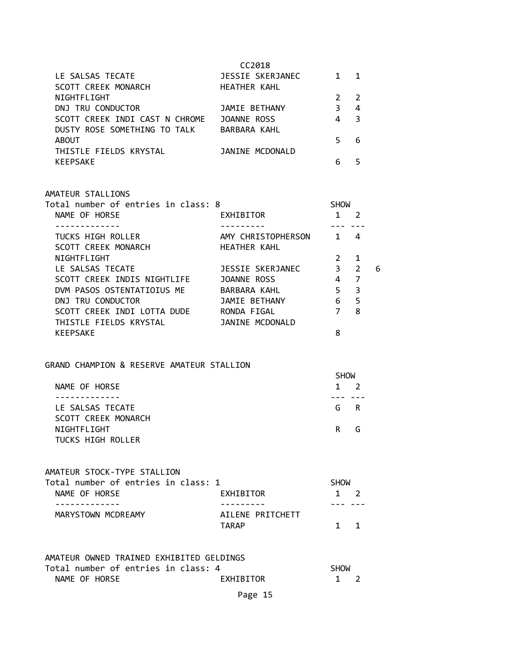| LE SALSAS TECATE<br>SCOTT CREEK MONARCH | CC2018<br>JESSIE SKERJANEC<br><b>HEATHER KAHL</b> |   |   |
|-----------------------------------------|---------------------------------------------------|---|---|
| NIGHTFLIGHT                             |                                                   |   |   |
| DNJ TRU CONDUCTOR                       | JAMIE BETHANY                                     | 3 | 4 |
| SCOTT CREEK INDI CAST N CHROME          | JOANNE ROSS                                       | 4 |   |
| DUSTY ROSE SOMETHING TO TALK            | BARBARA KAHL                                      |   |   |
| <b>ABOUT</b>                            |                                                   | 5 | 6 |
| THISTLE FIELDS KRYSTAL                  | JANINE MCDONALD                                   |   |   |
| <b>KEEPSAKE</b>                         |                                                   | ĥ |   |

| AMATEUR STALLIONS                   |                    |                |               |   |
|-------------------------------------|--------------------|----------------|---------------|---|
| Total number of entries in class: 8 |                    | <b>SHOW</b>    |               |   |
| NAME OF HORSE                       | EXHIBITOR          |                | 2             |   |
|                                     |                    |                |               |   |
| TUCKS HIGH ROLLER                   | AMY CHRISTOPHERSON | $\mathbf{1}$   | 4             |   |
| SCOTT CREEK MONARCH                 | HEATHER KAHL       |                |               |   |
| NIGHTFLIGHT                         |                    | $\mathcal{P}$  | 1             |   |
| LE SALSAS TECATE                    | JESSIE SKERJANEC   | $\overline{3}$ | $\mathcal{P}$ | 6 |
| SCOTT CREEK INDIS NIGHTLIFE         | JOANNE ROSS        | 4              | 7             |   |
| DVM PASOS OSTENTATIOIUS ME          | BARBARA KAHL       | 5              | 3             |   |
| DNJ TRU CONDUCTOR                   | JAMIE BETHANY      | 6              | 5             |   |
| SCOTT CREEK INDI LOTTA DUDE         | RONDA FIGAL        | 7              | 8             |   |
| THISTLE FIELDS KRYSTAL              | JANINE MCDONALD    |                |               |   |
| KEEPSAKE                            |                    | 8              |               |   |

## GRAND CHAMPION & RESERVE AMATEUR STALLION

|                     |   | <b>SHOW</b> |  |
|---------------------|---|-------------|--|
| NAME OF HORSE       |   | $1 \quad 2$ |  |
|                     |   |             |  |
| LE SALSAS TECATE    |   | G R         |  |
| SCOTT CREEK MONARCH |   |             |  |
| NIGHTFLIGHT         | R | G           |  |
| TUCKS HIGH ROLLER   |   |             |  |

## AMATEUR STOCK-TYPE STALLION

| Total number of entries in class: 1 |                  | SHOW        |  |
|-------------------------------------|------------------|-------------|--|
| NAME OF HORSE                       | EXHIBITOR        | $1 \quad 2$ |  |
|                                     |                  |             |  |
| MARYSTOWN MCDREAMY                  | AILENE PRITCHETT |             |  |
|                                     | TARAP            | $1 \quad 1$ |  |

| AMATEUR OWNED TRAINED EXHIBITED GELDINGS |             |  |
|------------------------------------------|-------------|--|
| Total number of entries in class: 4      | <b>SHOW</b> |  |
| NAME OF HORSE<br>EXHIBITOR               | $1 \quad 2$ |  |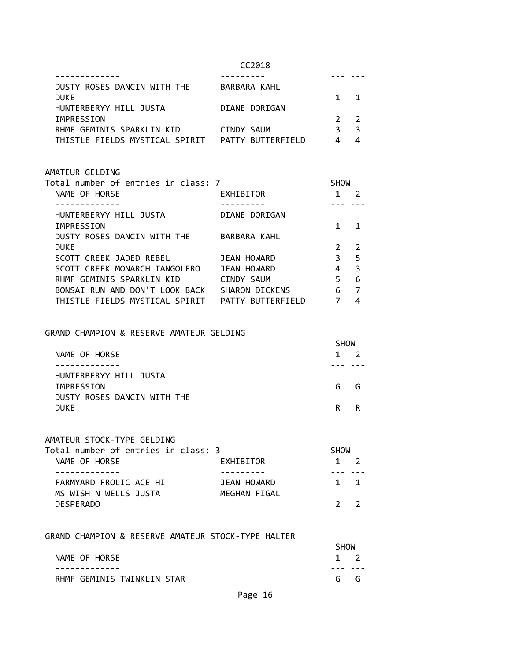| DUSTY ROSES DANCIN WITH THE    | BARBARA KAHL      |                |
|--------------------------------|-------------------|----------------|
| <b>DUKE</b>                    |                   | $1 \quad 1$    |
| HUNTERBERYY HILL JUSTA         | DIANE DORIGAN     |                |
| IMPRESSION                     |                   | 2 <sub>2</sub> |
| RHMF GEMINIS SPARKLIN KID      | CINDY SAUM        | - 3            |
| THISTLE FIELDS MYSTICAL SPIRIT | PATTY BUTTERFIELD |                |

#### AMATEUR GELDING

| Total number of entries in class: 7 |                   | <b>SHOW</b> |               |
|-------------------------------------|-------------------|-------------|---------------|
| NAME OF HORSE                       | EXHIBITOR         |             |               |
|                                     |                   |             |               |
| HUNTERBERYY HILL JUSTA              | DIANE DORIGAN     |             |               |
| IMPRESSION                          |                   |             |               |
| DUSTY ROSES DANCIN WITH THE         | BARBARA KAHL      |             |               |
| <b>DUKE</b>                         |                   |             | $\mathcal{P}$ |
| SCOTT CREEK JADED REBEL             | JEAN HOWARD       | 3           | 5             |
| SCOTT CREEK MONARCH TANGOLERO       | JEAN HOWARD       | 4           | 3             |
| RHMF GEMINIS SPARKLIN KID           | CINDY SAUM        | 5           | 6             |
| BONSAI RUN AND DON'T LOOK BACK      | SHARON DICKENS    | 6           | 7             |
| THISTLE FIELDS MYSTICAL SPIRIT      | PATTY BUTTERFIELD |             | 4             |

#### GRAND CHAMPION & RESERVE AMATEUR GELDING

|                             |   | <b>SHOW</b> |  |
|-----------------------------|---|-------------|--|
| NAME OF HORSE               | 1 |             |  |
|                             |   |             |  |
| HUNTERBERYY HILL JUSTA      |   |             |  |
| IMPRESSION                  | G | G           |  |
| DUSTY ROSES DANCIN WITH THE |   |             |  |
| <b>DUKE</b>                 | R | R           |  |

## AMATEUR STOCK-TYPE GELDING

| Total number of entries in class: 3 |              | <b>SHOW</b> |             |
|-------------------------------------|--------------|-------------|-------------|
| NAME OF HORSE                       | EXHIBITOR    |             | $1 \quad 2$ |
|                                     |              |             |             |
| FARMYARD FROLIC ACE HI              | JEAN HOWARD  |             | $1 \quad 1$ |
| MS WISH N WELLS JUSTA               | MEGHAN FIGAL |             |             |
| <b>DESPERADO</b>                    |              |             |             |

### GRAND CHAMPION & RESERVE AMATEUR STOCK-TYPE HALTER

|                            | <b>SHOW</b> |  |  |
|----------------------------|-------------|--|--|
| NAME OF HORSE              | $1 \quad 2$ |  |  |
|                            |             |  |  |
| RHMF GEMINIS TWINKLIN STAR | G G         |  |  |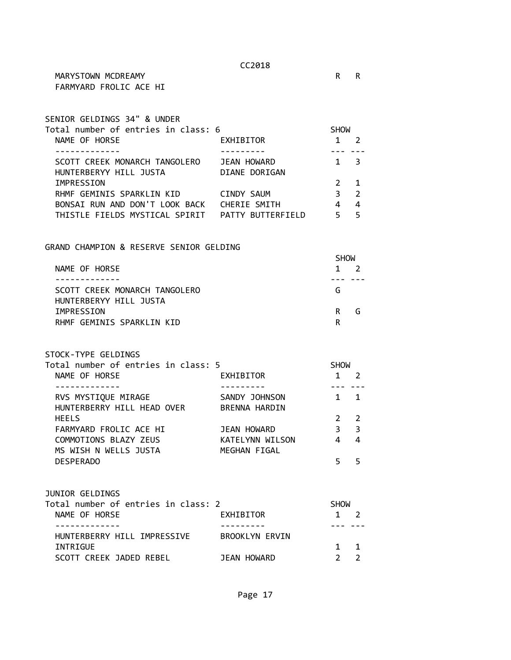MARYSTOWN MCDREAMY **RADIO RADIO RADIO RADIO RADIO RADIO RADIO RADIO RADIO RADIO RADIO RADIO RADIO RADIO RADIO R** FARMYARD FROLIC ACE HI

| SENIOR GELDINGS 34" & UNDER         |                   |             |               |
|-------------------------------------|-------------------|-------------|---------------|
| Total number of entries in class: 6 |                   | <b>SHOW</b> |               |
| NAME OF HORSE                       | EXHIBITOR         |             |               |
|                                     |                   |             |               |
| SCOTT CREEK MONARCH TANGOLERO       | JEAN HOWARD       |             | 3             |
| HUNTERBERYY HILL JUSTA              | DIANE DORIGAN     |             |               |
| IMPRESSION                          |                   |             |               |
| RHMF GEMINIS SPARKLIN KID           | CINDY SAUM        | З           | $\mathcal{L}$ |
| BONSAI RUN AND DON'T LOOK BACK      | CHERIE SMITH      | 4           | 4             |
| THISTLE FIELDS MYSTICAL SPIRIT      | PATTY BUTTERFIELD |             | 5             |

GRAND CHAMPION & RESERVE SENIOR GELDING

|                               | <b>SHOW</b> |
|-------------------------------|-------------|
| NAME OF HORSE                 | $1 \quad$   |
|                               |             |
| SCOTT CREEK MONARCH TANGOLERO | G           |
| HUNTERBERYY HILL JUSTA        |             |
| IMPRESSION                    | R<br>۰٦.    |
| RHMF GEMINIS SPARKLIN KID     |             |

STOCK-TYPE GELDINGS

| Total number of entries in class: 5 |                      | <b>SHOW</b> |                         |  |
|-------------------------------------|----------------------|-------------|-------------------------|--|
| NAME OF HORSE                       | EXHIBITOR            |             |                         |  |
|                                     |                      |             |                         |  |
| RVS MYSTIQUE MIRAGE                 | SANDY JOHNSON        |             |                         |  |
| HUNTERBERRY HILL HEAD OVER          | <b>BRENNA HARDIN</b> |             |                         |  |
| <b>HEELS</b>                        |                      |             | $\mathcal{L}$           |  |
| FARMYARD FROLIC ACE HI              | JEAN HOWARD          | 3           | $\overline{\mathbf{3}}$ |  |
| COMMOTIONS BLAZY ZEUS               | KATELYNN WILSON      |             | 4                       |  |
| MS WISH N WELLS JUSTA               | MEGHAN FIGAL         |             |                         |  |
| <b>DESPERADO</b>                    |                      |             |                         |  |

| JUNIOR GELDINGS                     |                |             |             |
|-------------------------------------|----------------|-------------|-------------|
| Total number of entries in class: 2 |                | <b>SHOW</b> |             |
| NAME OF HORSE                       | EXHIBITOR      |             |             |
|                                     |                |             |             |
| HUNTERBERRY HILL IMPRESSIVE         | BROOKLYN ERVIN |             |             |
| INTRIGUE                            |                |             | $1 \quad 1$ |
| SCOTT CREEK JADED REBEL             | JEAN HOWARD    |             |             |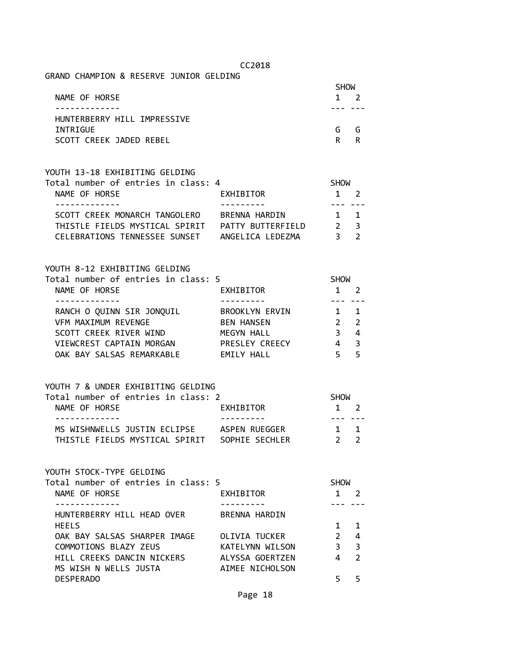| GRAND CHAMPION & RESERVE JUNIOR GELDING |              |     |
|-----------------------------------------|--------------|-----|
|                                         | <b>SHOW</b>  |     |
| NAME OF HORSE                           | $\mathbf{1}$ |     |
|                                         |              |     |
| HUNTERBERRY HILL IMPRESSIVE             |              |     |
| INTRIGUE                                | G            | - G |
| SCOTT CREEK JADED REBEL                 | R            | R   |
|                                         |              |     |

| YOUTH 13-18 EXHIBITING GELDING      |                   |             |                |
|-------------------------------------|-------------------|-------------|----------------|
| Total number of entries in class: 4 |                   | <b>SHOW</b> |                |
| NAME OF HORSE                       | EXHIBITOR         |             | $1 \quad 2$    |
|                                     |                   |             |                |
| SCOTT CREEK MONARCH TANGOLERO       | BRENNA HARDIN     |             | $1 \quad 1$    |
| THISTLE FIELDS MYSTICAL SPIRIT      | PATTY BUTTERFIELD |             | 2 <sup>3</sup> |
| CELEBRATIONS TENNESSEE SUNSET       | ANGELICA LEDEZMA  |             |                |

| Total number of entries in class: 5 |                       | <b>SHOW</b> |                         |  |
|-------------------------------------|-----------------------|-------------|-------------------------|--|
| NAME OF HORSE                       | <b>EXHIBITOR</b>      |             |                         |  |
|                                     |                       |             |                         |  |
| RANCH O QUINN SIR JONQUIL           | <b>BROOKLYN ERVIN</b> | $1 \quad 1$ |                         |  |
| <b>VFM MAXIMUM REVENGE</b>          | <b>BEN HANSEN</b>     | $2 \quad 2$ |                         |  |
| SCOTT CREEK RIVER WIND              | MEGYN HALL            |             | 4                       |  |
| VIEWCREST CAPTAIN MORGAN            | PRESLEY CREECY        | 4           | $\overline{\mathbf{3}}$ |  |
| OAK BAY SALSAS REMARKABLE           | <b>EMILY HALL</b>     |             | -5                      |  |
|                                     |                       |             |                         |  |

| YOUTH 7 & UNDER EXHIBITING GELDING |
|------------------------------------|
|------------------------------------|

| Total number of entries in class: 2           |               | <b>SHOW</b>  |  |
|-----------------------------------------------|---------------|--------------|--|
| NAME OF HORSE                                 | EXHIBITOR     | $1 \quad 2$  |  |
|                                               |               |              |  |
| MS WISHNWELLS JUSTIN ECLIPSE                  | ASPEN RUEGGER | 1 1          |  |
| THISTLE FIELDS MYSTICAL SPIRIT SOPHIE SECHLER |               | $2^{\prime}$ |  |

YOUTH STOCK-TYPE GELDING

| Total number of entries in class: 5 |                      | <b>SHOW</b>   |                         |  |
|-------------------------------------|----------------------|---------------|-------------------------|--|
| NAME OF HORSE                       | EXHIBITOR            |               |                         |  |
|                                     |                      |               |                         |  |
| HUNTERBERRY HILL HEAD OVER          | <b>BRENNA HARDIN</b> |               |                         |  |
| <b>HEELS</b>                        |                      |               |                         |  |
| OAK BAY SALSAS SHARPER IMAGE        | OLIVIA TUCKER        | $\mathcal{P}$ | 4                       |  |
| COMMOTIONS BLAZY ZEUS               | KATELYNN WILSON      | З             | $\overline{\mathbf{3}}$ |  |
| HILL CREEKS DANCIN NICKERS          | ALYSSA GOERTZEN      |               | $\mathcal{P}$           |  |
| MS WISH N WELLS JUSTA               | AIMEE NICHOLSON      |               |                         |  |
| <b>DESPERADO</b>                    |                      |               |                         |  |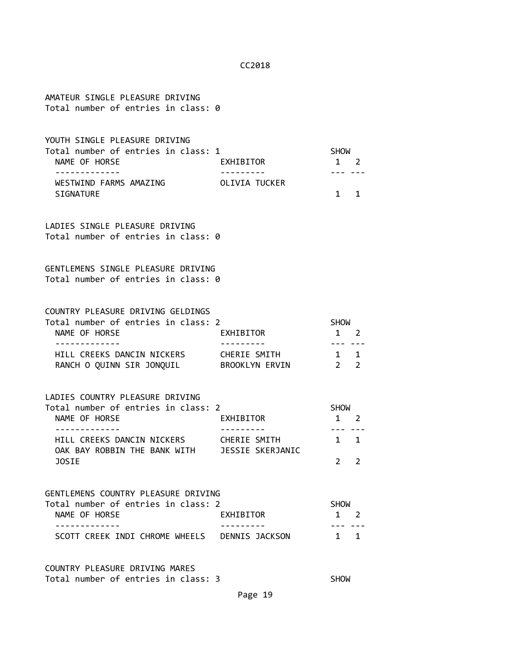AMATEUR SINGLE PLEASURE DRIVING Total number of entries in class: 0 YOUTH SINGLE PLEASURE DRIVING Total number of entries in class: 1 SHOW NAME OF HORSE **EXHIBITOR** 2 ------------- --------- --- --- WESTWIND FARMS AMAZING OLIVIA TUCKER SIGNATURE 1 1 LADIES SINGLE PLEASURE DRIVING Total number of entries in class: 0 GENTLEMENS SINGLE PLEASURE DRIVING Total number of entries in class: 0 COUNTRY PLEASURE DRIVING GELDINGS Total number of entries in class: 2 SHOW NAME OF HORSE THE RESERVE EXHIBITOR THAT A 2 ------------- --------- --- --- HILL CREEKS DANCIN NICKERS CHERIE SMITH 1 1 RANCH O QUINN SIR JONQUIL BROOKLYN ERVIN 2 2 LADIES COUNTRY PLEASURE DRIVING Total number of entries in class: 2 SHOW NAME OF HORSE **EXHIBITOR** 1 2 ------------- --------- --- --- HILL CREEKS DANCIN NICKERS CHERIE SMITH 1 1 OAK BAY ROBBIN THE BANK WITH JESSIE SKERJANIC JOSIE 2 2 GENTLEMENS COUNTRY PLEASURE DRIVING Total number of entries in class: 2 SHOW NAME OF HORSE **EXHIBITOR** 1 2 ------------- --------- --- --- SCOTT CREEK INDI CHROME WHEELS DENNIS JACKSON 1 1 COUNTRY PLEASURE DRIVING MARES

Total number of entries in class: 3 SHOW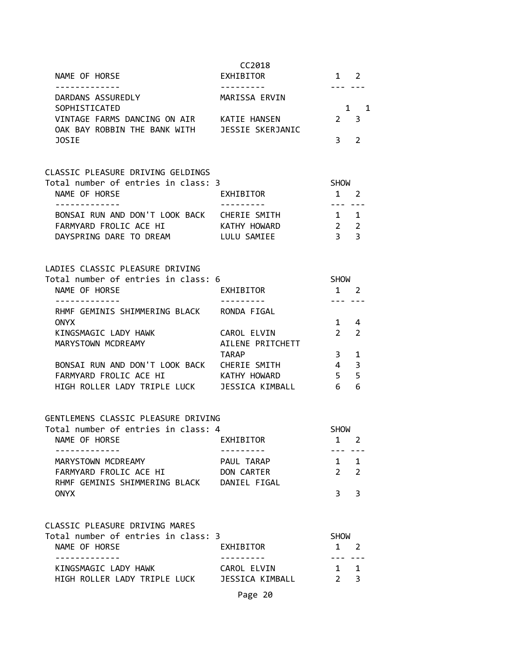| NAME OF HORSE                                                                              | CC2018<br>EXHIBITOR | 1 2                           |                  |
|--------------------------------------------------------------------------------------------|---------------------|-------------------------------|------------------|
| DARDANS ASSUREDLY                                                                          | MARISSA ERVIN       |                               | --- ---          |
| SOPHISTICATED                                                                              |                     |                               | 1 1              |
| VINTAGE FARMS DANCING ON AIR KATIE HANSEN<br>OAK BAY ROBBIN THE BANK WITH JESSIE SKERJANIC |                     |                               | $2 \quad 3$      |
| <b>JOSIE</b>                                                                               |                     |                               | 3 <sub>2</sub>   |
| CLASSIC PLEASURE DRIVING GELDINGS                                                          |                     |                               |                  |
| Total number of entries in class: 3<br>NAME OF HORSE                                       | EXHIBITOR           | SHOW<br>$1 \quad 2$           |                  |
| -------------                                                                              | ---------           | . . <b>.</b>                  |                  |
| BONSAI RUN AND DON'T LOOK BACK CHERIE SMITH                                                |                     | $1 \quad 1$                   |                  |
| FARMYARD FROLIC ACE HI KATHY HOWARD                                                        |                     | $2 \quad 2$                   |                  |
| DAYSPRING DARE TO DREAM                                                                    | LULU SAMIEE         | 3 <sup>3</sup>                |                  |
| LADIES CLASSIC PLEASURE DRIVING                                                            |                     |                               |                  |
| Total number of entries in class: 6                                                        |                     | SHOW                          |                  |
| NAME OF HORSE                                                                              | <b>EXHIBITOR</b>    | $1 \quad 2$                   |                  |
| -------------<br>RHMF GEMINIS SHIMMERING BLACK RONDA FIGAL                                 | . <u>.</u>          | --- ---                       |                  |
| <b>ONYX</b>                                                                                |                     |                               | $1 \quad 4$      |
| KINGSMAGIC LADY HAWK                                                                       | CAROL ELVIN         |                               | $2 \quad 2$      |
| MARYSTOWN MCDREAMY                                                                         | AILENE PRITCHETT    |                               |                  |
|                                                                                            | TARAP               | $3 \quad 1$                   |                  |
| BONSAI RUN AND DON'T LOOK BACK CHERIE SMITH<br>FARMYARD FROLIC ACE HI KATHY HOWARD         |                     | $4 \quad 3$<br>5 <sub>5</sub> |                  |
| HIGH ROLLER LADY TRIPLE LUCK JESSICA KIMBALL 6 6                                           |                     |                               |                  |
|                                                                                            |                     |                               |                  |
| GENTLEMENS CLASSIC PLEASURE DRIVING                                                        |                     |                               |                  |
| Total number of entries in class: 4<br>NAME OF HORSE                                       | EXHIBITOR           | <b>SHOW</b>                   | 1 2              |
| . <u>_ _ _ _ _ _ _ _ _ _ _</u> _                                                           | ---------           |                               | --- ---          |
| MARYSTOWN MCDREAMY                                                                         | PAUL TARAP          |                               | $1 \quad 1$      |
| FARMYARD FROLIC ACE HI                                                                     | DON CARTER          |                               | $2 \quad 2$      |
| RHMF GEMINIS SHIMMERING BLACK DANIEL FIGAL                                                 |                     |                               |                  |
| <b>ONYX</b>                                                                                |                     | $\mathbf{3}$                  | 3                |
| CLASSIC PLEASURE DRIVING MARES                                                             |                     |                               |                  |
| Total number of entries in class: 3                                                        |                     | <b>SHOW</b>                   |                  |
| NAME OF HORSE                                                                              | EXHIBITOR           | 1 2                           |                  |
| KINGSMAGIC LADY HAWK                                                                       | CAROL ELVIN         |                               | $1 \quad 1$      |
| HIGH ROLLER LADY TRIPLE LUCK JESSICA KIMBALL                                               |                     |                               | $2 \overline{3}$ |
|                                                                                            |                     |                               |                  |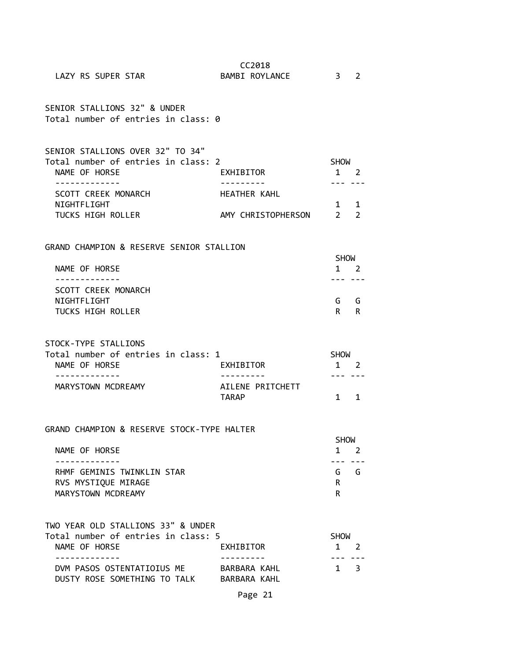| LAZY RS SUPER STAR                                                      | CC2018<br>BAMBI ROYLANCE      | $\frac{3}{2}$                                                                                                                                                                                                                  |             |
|-------------------------------------------------------------------------|-------------------------------|--------------------------------------------------------------------------------------------------------------------------------------------------------------------------------------------------------------------------------|-------------|
| SENIOR STALLIONS 32" & UNDER<br>Total number of entries in class: 0     |                               |                                                                                                                                                                                                                                |             |
| SENIOR STALLIONS OVER 32" TO 34"                                        |                               |                                                                                                                                                                                                                                |             |
| Total number of entries in class: 2<br>NAME OF HORSE                    | EXHIBITOR                     | <b>SHOW</b><br>1 2                                                                                                                                                                                                             |             |
| SCOTT CREEK MONARCH                                                     | HEATHER KAHL                  | $- - - - - - - -$                                                                                                                                                                                                              |             |
| NIGHTFLIGHT<br>TUCKS HIGH ROLLER                                        | AMY CHRISTOPHERSON 2 2        | 1 1                                                                                                                                                                                                                            |             |
| GRAND CHAMPION & RESERVE SENIOR STALLION                                |                               |                                                                                                                                                                                                                                |             |
| NAME OF HORSE                                                           |                               | <b>SHOW</b>                                                                                                                                                                                                                    | $1 \quad 2$ |
| -------------                                                           |                               | --- ---                                                                                                                                                                                                                        |             |
| SCOTT CREEK MONARCH                                                     |                               |                                                                                                                                                                                                                                |             |
| NIGHTFLIGHT                                                             |                               |                                                                                                                                                                                                                                | G G         |
| <b>TUCKS HIGH ROLLER</b>                                                |                               | R and the set of the set of the set of the set of the set of the set of the set of the set of the set of the set of the set of the set of the set of the set of the set of the set of the set of the set of the set of the set | R.          |
| STOCK-TYPE STALLIONS                                                    |                               |                                                                                                                                                                                                                                |             |
| Total number of entries in class: 1<br>NAME OF HORSE                    | EXHIBITOR                     | SHOW                                                                                                                                                                                                                           | $1 \quad 2$ |
| . <u>.</u><br>MARYSTOWN MCDREAMY                                        | ---------<br>AILENE PRITCHETT | $- - - - - - - -$                                                                                                                                                                                                              |             |
|                                                                         | <b>TARAP</b>                  | $1 \quad 1$                                                                                                                                                                                                                    |             |
| GRAND CHAMPION & RESERVE STOCK-TYPE HALTER                              |                               |                                                                                                                                                                                                                                |             |
|                                                                         |                               | <b>SHOW</b>                                                                                                                                                                                                                    |             |
| NAME OF HORSE                                                           |                               |                                                                                                                                                                                                                                | $1 \quad 2$ |
| .<br>RHMF GEMINIS TWINKLIN STAR                                         |                               | --- ---                                                                                                                                                                                                                        | $G$ $G$     |
| RVS MYSTIQUE MIRAGE                                                     |                               | R.                                                                                                                                                                                                                             |             |
| MARYSTOWN MCDREAMY                                                      |                               | R                                                                                                                                                                                                                              |             |
| TWO YEAR OLD STALLIONS 33" & UNDER                                      |                               |                                                                                                                                                                                                                                |             |
| Total number of entries in class: 5                                     |                               | <b>SHOW</b>                                                                                                                                                                                                                    |             |
| NAME OF HORSE<br>-----------                                            | EXHIBITOR                     |                                                                                                                                                                                                                                | 1 2         |
| DVM PASOS OSTENTATIOIUS ME<br>DUSTY ROSE SOMETHING TO TALK BARBARA KAHL | BARBARA KAHL                  |                                                                                                                                                                                                                                | 1 3         |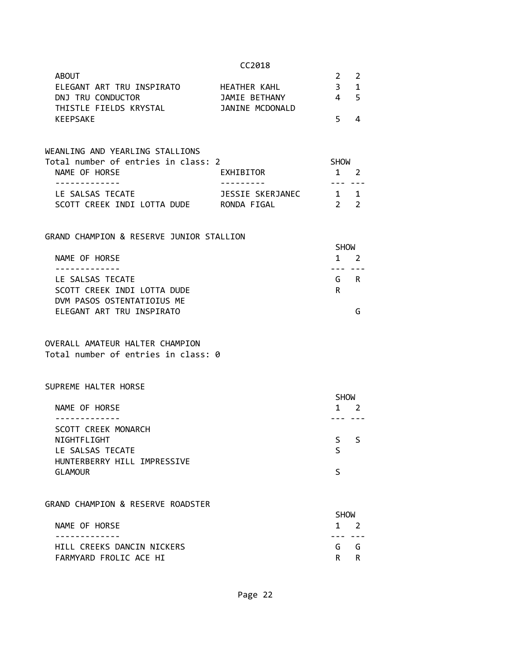| <b>ABOUT</b>              |                 |    |    |
|---------------------------|-----------------|----|----|
| ELEGANT ART TRU INSPIRATO | HEATHER KAHL    |    | 31 |
| DNJ TRU CONDUCTOR         | JAMIE BETHANY   |    | 45 |
| THISTLE FIELDS KRYSTAL    | JANINE MCDONALD |    |    |
| KEEPSAKE                  |                 | 5. |    |

## WEANLING AND YEARLING STALLIONS Total number of entries in class: 2 SHOW NAME OF HORSE **EXHIBITOR** 1 2 ------------- --------- --- --- LE SALSAS TECATE JESSIE SKERJANEC 1 1 SCOTT CREEK INDI LOTTA DUDE RONDA FIGAL

#### GRAND CHAMPION & RESERVE JUNIOR STALLION

|                             | <b>SHOW</b>    |  |
|-----------------------------|----------------|--|
| NAME OF HORSE               | $\overline{1}$ |  |
|                             |                |  |
| LE SALSAS TECATE            | G<br>R         |  |
| SCOTT CREEK INDI LOTTA DUDE | R              |  |
| DVM PASOS OSTENTATIOIUS ME  |                |  |
| ELEGANT ART TRU INSPIRATO   |                |  |

#### OVERALL AMATEUR HALTER CHAMPION Total number of entries in class: 0

#### SUPREME HALTER HORSE

|                             | <b>SHOW</b> |
|-----------------------------|-------------|
| NAME OF HORSE               | 2           |
|                             |             |
| SCOTT CREEK MONARCH         |             |
| NIGHTFLIGHT                 | ς.<br>ς     |
| LE SALSAS TECATE            |             |
| HUNTERBERRY HILL IMPRESSIVE |             |
| <b>GLAMOUR</b>              |             |
|                             |             |

#### GRAND CHAMPION & RESERVE ROADSTER

|                            | <b>SHOW</b> |             |
|----------------------------|-------------|-------------|
| NAME OF HORSE              |             | $1 \quad 2$ |
|                            |             |             |
| HILL CREEKS DANCIN NICKERS | G G         |             |
| FARMYARD FROLIC ACE HI     | R R         |             |